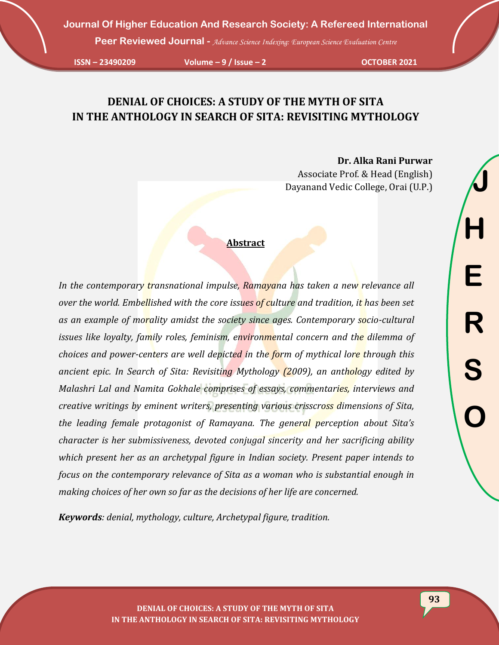**Peer Reviewed Journal -** *Advance Science Indexing: European Science Evaluation Centre*

**ISSN – 23490209 Volume – 9 / Issue – 2 OCTOBER 2021**

# **DENIAL OF CHOICES: A STUDY OF THE MYTH OF SITA IN THE ANTHOLOGY IN SEARCH OF SITA: REVISITING MYTHOLOGY**

**Dr. Alka Rani Purwar** Associate Prof. & Head (English) Dayanand Vedic College, Orai (U.P.)

### **Abstract**

*In the contemporary transnational impulse, Ramayana has taken a new relevance all over the world. Embellished with the core issues of culture and tradition, it has been set as an example of morality amidst the society since ages. Contemporary socio-cultural issues like loyalty, family roles, feminism, environmental concern and the dilemma of choices and power-centers are well depicted in the form of mythical lore through this ancient epic. In Search of Sita: Revisiting Mythology (2009), an anthology edited by Malashri Lal and Namita Gokhale comprises of essays, commentaries, interviews and creative writings by eminent writers, presenting various crisscross dimensions of Sita, the leading female protagonist of Ramayana. The general perception about Sita's character is her submissiveness, devoted conjugal sincerity and her sacrificing ability which present her as an archetypal figure in Indian society. Present paper intends to focus on the contemporary relevance of Sita as a woman who is substantial enough in making choices of her own so far as the decisions of her life are concerned.* 

*Keywords: denial, mythology, culture, Archetypal figure, tradition.*

**DENIAL OF CHOICES: A STUDY OF THE MYTH OF SITA IN THE ANTHOLOGY IN SEARCH OF SITA: REVISITING MYTHOLOGY**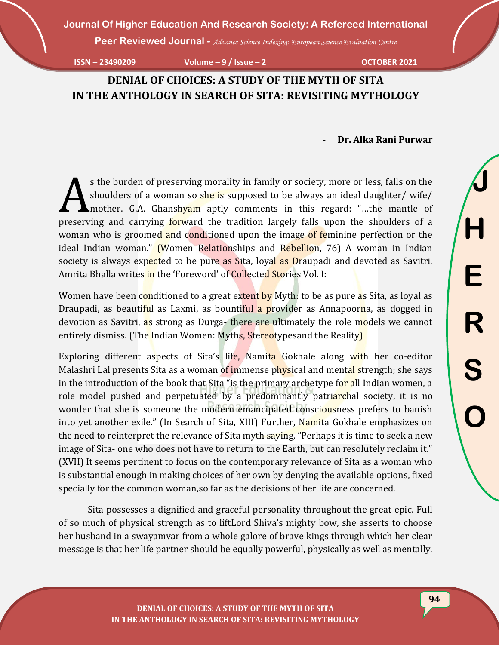**Peer Reviewed Journal -** *Advance Science Indexing: European Science Evaluation Centre*

**ISSN – 23490209 Volume – 9 / Issue – 2 OCTOBER 2021**

# **DENIAL OF CHOICES: A STUDY OF THE MYTH OF SITA IN THE ANTHOLOGY IN SEARCH OF SITA: REVISITING MYTHOLOGY**

- **Dr. Alka Rani Purwar**

s the burden of preserving morality in family or society, more or less, falls on the shoulders of a woman so she is supposed to be always an ideal daughter/ wife/ **A** mother. G.A. Ghanshyam aptly comments in this regard: "...the mantle of s the burden of preserving morality in family or society, more or less, falls on the shoulders of a woman so she is supposed to be always an ideal daughter/ wife/ mother. G.A. Ghanshyam aptly comments in this regard: "...t woman who is groomed and conditioned upon the image of feminine perfection or the ideal Indian woman." (Women Relationships and Rebellion, 76) A woman in Indian society is always expected to be pure as Sita, loyal as Draupadi and devoted as Savitri. Amrita Bhalla writes in the 'Foreword' of Collected Stories Vol. I:

Women have been conditioned to a great extent by Myth: to be as pure as Sita, as loyal as Draupadi, as beautiful as Laxmi, as bountiful a provider as Annapoorna, as dogged in devotion as Savitri, as strong as Durga- there are ultimately the role models we cannot entirely dismiss. (The Indian Women: Myths, Stereotypesand the Reality)

Exploring different aspects of Sita's life, Namita Gokhale along with her co-editor Malashri Lal presents Sita as a woman of immense physical and mental strength; she says in the introduction of the book that Sita "is the primary archetype for all Indian women, a role model pushed and perpetuated by a predominantly patriarchal society, it is no wonder that she is someone the modern emancipated consciousness prefers to banish into yet another exile." (In Search of Sita, XIII) Further, Namita Gokhale emphasizes on the need to reinterpret the relevance of Sita myth saying, "Perhaps it is time to seek a new image of Sita- one who does not have to return to the Earth, but can resolutely reclaim it." (XVII) It seems pertinent to focus on the contemporary relevance of Sita as a woman who is substantial enough in making choices of her own by denying the available options, fixed specially for the common woman,so far as the decisions of her life are concerned.

Sita possesses a dignified and graceful personality throughout the great epic. Full of so much of physical strength as to liftLord Shiva's mighty bow, she asserts to choose her husband in a swayamvar from a whole galore of brave kings through which her clear message is that her life partner should be equally powerful, physically as well as mentally.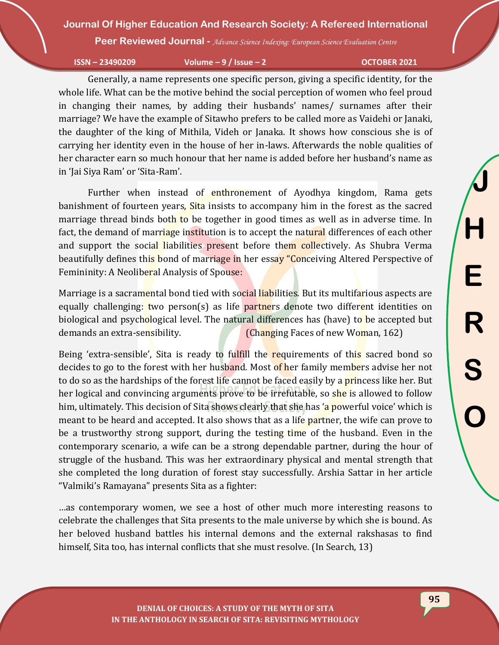**Peer Reviewed Journal -** *Advance Science Indexing: European Science Evaluation Centre*

**ISSN – 23490209 Volume – 9 / Issue – 2 OCTOBER 2021**

Generally, a name represents one specific person, giving a specific identity, for the whole life. What can be the motive behind the social perception of women who feel proud in changing their names, by adding their husbands' names/ surnames after their marriage? We have the example of Sitawho prefers to be called more as Vaidehi or Janaki, the daughter of the king of Mithila, Videh or Janaka. It shows how conscious she is of carrying her identity even in the house of her in-laws. Afterwards the noble qualities of her character earn so much honour that her name is added before her husband's name as in 'Jai Siya Ram' or 'Sita-Ram'.

Further when instead of enthronement of Ayodhya kingdom, Rama gets banishment of fourteen years, Sita insists to accompany him in the forest as the sacred marriage thread binds both to be together in good times as well as in adverse time. In fact, the demand of marriage institution is to accept the natural differences of each other and support the social liabilities present before them collectively. As Shubra Verma beautifully defines this bond of marriage in her essay "Conceiving Altered Perspective of Femininity: A Neoliberal Analysis of Spouse:

Marriage is a sacramental bond tied with social liabilities. But its multifarious aspects are equally challenging: two person(s) as life partners denote two different identities on biological and psychological level. The natural differences has (have) to be accepted but demands an extra-sensibility. (Changing Faces of new Woman, 162)

Being 'extra-sensible', Sita is ready to fulfill the requirements of this sacred bond so decides to go to the forest with her husband. Most of her family members advise her not to do so as the hardships of the forest life cannot be faced easily by a **princess like her.** But her logical and convincing arguments prove to be irrefutable, so she is allowed to follow him, ultimately. This decision of Sita shows clearly that she has 'a powerful voice' which is meant to be heard and accepted. It also shows that as a life partner, the wife can prove to be a trustworthy strong support, during the testing time of the husband. Even in the contemporary scenario, a wife can be a strong dependable partner, during the hour of struggle of the husband. This was her extraordinary physical and mental strength that she completed the long duration of forest stay successfully. Arshia Sattar in her article "Valmiki's Ramayana" presents Sita as a fighter:

…as contemporary women, we see a host of other much more interesting reasons to celebrate the challenges that Sita presents to the male universe by which she is bound. As her beloved husband battles his internal demons and the external rakshasas to find himself, Sita too, has internal conflicts that she must resolve. (In Search, 13)

**DENIAL OF CHOICES: A STUDY OF THE MYTH OF SITA IN THE ANTHOLOGY IN SEARCH OF SITA: REVISITING MYTHOLOGY**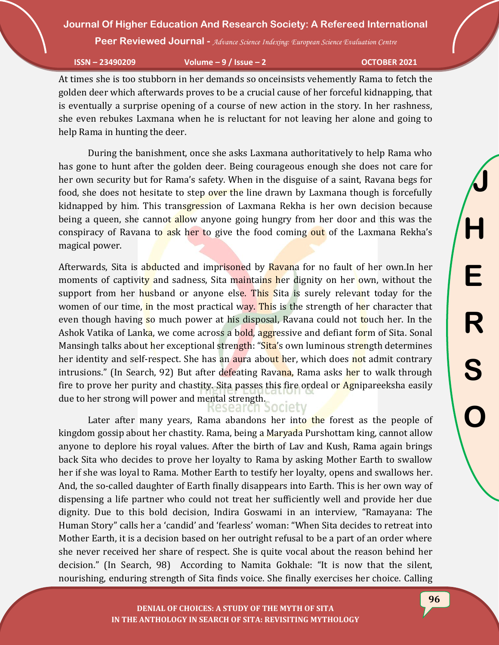**Peer Reviewed Journal -** *Advance Science Indexing: European Science Evaluation Centre*

**ISSN – 23490209 Volume – 9 / Issue – 2 OCTOBER 2021**

At times she is too stubborn in her demands so onceinsists vehemently Rama to fetch the golden deer which afterwards proves to be a crucial cause of her forceful kidnapping, that is eventually a surprise opening of a course of new action in the story. In her rashness, she even rebukes Laxmana when he is reluctant for not leaving her alone and going to help Rama in hunting the deer.

During the banishment, once she asks Laxmana authoritatively to help Rama who has gone to hunt after the golden deer. Being courageous enough she does not care for her own security but for Rama's safety. When in the disguise of a saint, Ravana begs for food, she does not hesitate to step over the line drawn by Laxmana though is forcefully kidnapped by him. This transgression of Laxmana Rekha is her own decision because being a queen, she cannot allow anyone going hungry from her door and this was the conspiracy of Ravana to ask her to give the food coming out of the Laxmana Rekha's magical power.

Afterwards, Sita is abducted and imprisoned by Ravana for no fault of her own. In her moments of captivity and sadness, Sita maintains her dignity on her own, without the support from her husband or anyone else. This Sita is surely relevant today for the women of our time, in the most practical way. This is the strength of her character that even though having so much power at his disposal, Ravana could not touch her. In the Ashok Vatika of Lanka, we come across a bold, aggressive and defiant form of Sita. Sonal Mansingh talks about her exceptional strength: "Sita's own luminous strength determines her identity and self-respect. She has an aura about her, which does not admit contrary intrusions." (In Search, 92) But after defeating Ravana, Rama asks her to walk through fire to prove her purity and chastity. Sita passes this fire ordeal or Agnipareeksha easily due to her strong will power and mental strength.

Later after many years, Rama abandons her into the forest as the people of kingdom gossip about her chastity. Rama, being a Maryada Purshottam king, cannot allow anyone to deplore his royal values. After the birth of Lav and Kush, Rama again brings back Sita who decides to prove her loyalty to Rama by asking Mother Earth to swallow her if she was loyal to Rama. Mother Earth to testify her loyalty, opens and swallows her. And, the so-called daughter of Earth finally disappears into Earth. This is her own way of dispensing a life partner who could not treat her sufficiently well and provide her due dignity. Due to this bold decision, Indira Goswami in an interview, "Ramayana: The Human Story" calls her a 'candid' and 'fearless' woman: "When Sita decides to retreat into Mother Earth, it is a decision based on her outright refusal to be a part of an order where she never received her share of respect. She is quite vocal about the reason behind her decision." (In Search, 98) According to Namita Gokhale: "It is now that the silent, nourishing, enduring strength of Sita finds voice. She finally exercises her choice. Calling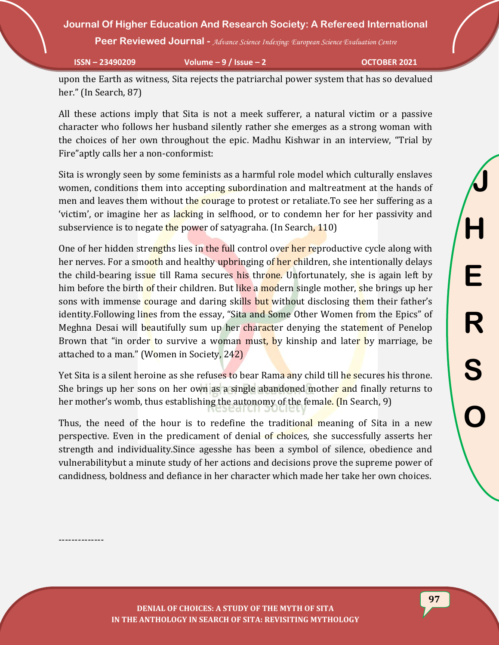**Peer Reviewed Journal -** *Advance Science Indexing: European Science Evaluation Centre*

--------------

**ISSN – 23490209 Volume – 9 / Issue – 2 OCTOBER 2021**

upon the Earth as witness, Sita rejects the patriarchal power system that has so devalued her." (In Search, 87)

All these actions imply that Sita is not a meek sufferer, a natural victim or a passive character who follows her husband silently rather she emerges as a strong woman with the choices of her own throughout the epic. Madhu Kishwar in an interview, "Trial by Fire"aptly calls her a non-conformist:

Sita is wrongly seen by some feminists as a harmful role model which culturally enslaves women, conditions them into accepting subordination and maltreatment at the hands of men and leaves them without the courage to protest or retaliate. To see her suffering as a 'victim', or imagine her as lacking in selfhood, or to condemn her for her passivity and subservience is to negate the power of satyagraha. (In Search, 110)

One of her hidden strengths lies in the full control over her reproductive cycle along with her nerves. For a smooth and healthy upbringing of her children, she intentionally delays the child-bearing issue till Rama secures his throne. Unfortunately, she is again left by him before the birth of their children. But like a modern single mother, she brings up her sons with immense courage and daring skills but without disclosing them their father's identity.Following lines from the essay, "Sita and Some Other Women from the Epics" of Meghna Desai will beautifully sum up her character denying the statement of Penelop Brown that "in order to survive a woman must, by kinship and later by marriage, be attached to a man." (Women in Society, 242)

Yet Sita is a silent heroine as she refuses to bear Rama any child till he secures his throne. She brings up her sons on her own as a single abandoned mother and finally returns to her mother's womb, thus establishing the autonomy of the female. (In Search, 9)

Thus, the need of the hour is to redefine the traditional meaning of Sita in a new perspective. Even in the predicament of denial of choices, she successfully asserts her strength and individuality.Since agesshe has been a symbol of silence, obedience and vulnerabilitybut a minute study of her actions and decisions prove the supreme power of candidness, boldness and defiance in her character which made her take her own choices.